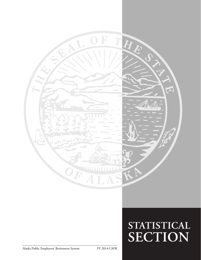

# **STATISTICAL SECTION**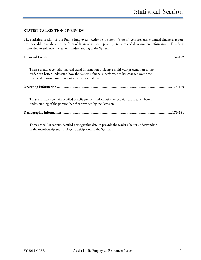#### **STATISTICAL SECTION OVERVIEW**

The statistical section of the Public Employees' Retirement System (System) comprehensive annual financial report provides additional detail in the form of financial trends, operating statistics and demographic information. This data is provided to enhance the reader's understanding of the System.

| These schedules contain financial trend information utilizing a multi-year presentation so the<br>reader can better understand how the System's financial performance has changed over time.<br>Financial information is presented on an accrual basis. |
|---------------------------------------------------------------------------------------------------------------------------------------------------------------------------------------------------------------------------------------------------------|
|                                                                                                                                                                                                                                                         |
| These schedules contain detailed benefit payment information to provide the reader a better<br>understanding of the pension benefits provided by the Division.                                                                                          |
|                                                                                                                                                                                                                                                         |

These schedules contain detailed demographic data to provide the reader a better understanding of the membership and employer participation in the System.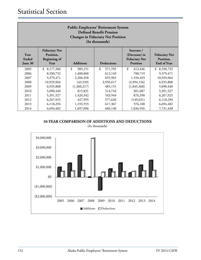| <b>Public Employees' Retirement System</b><br><b>Defined Benefit Pension</b><br><b>Changes in Fiduciary Net Position</b><br>(In thousands) |                                                                  |                          |                   |                                                                        |                                                         |  |  |
|--------------------------------------------------------------------------------------------------------------------------------------------|------------------------------------------------------------------|--------------------------|-------------------|------------------------------------------------------------------------|---------------------------------------------------------|--|--|
| Year<br>Ended<br>June 30                                                                                                                   | <b>Fiduciary Net</b><br>Position,<br><b>Beginning of</b><br>Year | <b>Additions</b>         | <b>Deductions</b> | Increase /<br>(Decrease) in<br><b>Fiduciary Net</b><br><b>Position</b> | <b>Fiduciary Net</b><br>Position,<br><b>End of Year</b> |  |  |
| 2005                                                                                                                                       | \$<br>8,177,306                                                  | $\mathcal{S}$<br>985,151 | \$<br>571,705     | \$<br>413,446                                                          | \$8,590,752                                             |  |  |
| 2006                                                                                                                                       | 8,590,752                                                        | 1,400,868                | 612,149           | 788,719                                                                | 9,379,471                                               |  |  |
| 2007                                                                                                                                       | 9,379,471                                                        | 2,206,458                | 655,965           | 1,550,493                                                              | 10,929,964                                              |  |  |
| 2008                                                                                                                                       | 10,929,964                                                       | (43,539)                 | 3,950,617         | (3,994,156)                                                            | 6,935,808                                               |  |  |
| 2009                                                                                                                                       | 6,935,808                                                        | (1,360,217)              | 485,151           | (1,845,368)                                                            | 5,090,440                                               |  |  |
| 2010                                                                                                                                       | 5,090,440                                                        | 815,831                  | 514,744           | 301,087                                                                | 5,391,527                                               |  |  |
| 2011                                                                                                                                       | 5,391,527                                                        | 1,420,342                | 543,944           | 876,398                                                                | 6,267,925                                               |  |  |
| 2012                                                                                                                                       | 6,267,925                                                        | 427,995                  | 577,626           | (149, 631)                                                             | 6,118,294                                               |  |  |
| 2013                                                                                                                                       | 6,118,294                                                        | 1,193,555                | 617,367           | 576,188                                                                | 6,694,482                                               |  |  |
| 2014                                                                                                                                       | 6,694,482                                                        | 1,697,096                | 660,140           | 1,036,956                                                              | 7,731,438                                               |  |  |

#### **10-YEAR COMPARISON OF ADDITIONS AND DEDUCTIONS**

(In thousands)

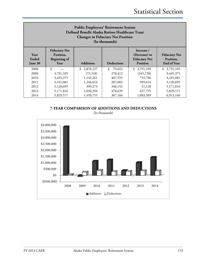| <b>Public Employees' Retirement System</b><br>Defined Benefit Alaska Retiree Healthcare Trust<br><b>Changes in Fiduciary Net Position</b><br>(In thousands) |                                                                  |                  |                   |                                                                        |                                                         |  |  |
|-------------------------------------------------------------------------------------------------------------------------------------------------------------|------------------------------------------------------------------|------------------|-------------------|------------------------------------------------------------------------|---------------------------------------------------------|--|--|
| Year<br>Ended<br>June 30                                                                                                                                    | <b>Fiduciary Net</b><br>Position,<br><b>Beginning of</b><br>Year | <b>Additions</b> | <b>Deductions</b> | Increase /<br>(Decrease) in<br><b>Fiduciary Net</b><br><b>Position</b> | <b>Fiduciary Net</b><br>Position,<br><b>End of Year</b> |  |  |
| 2008                                                                                                                                                        | \$                                                               | \$<br>3,870,127  | \$<br>79,022      | 3,791,105<br>\$                                                        | 3,791,105<br>\$                                         |  |  |
| 2009                                                                                                                                                        | 3,791,105                                                        | (75,318)         | 270,412           | (345,730)                                                              | 3,445,375                                               |  |  |
| 2010                                                                                                                                                        | 3,445,375                                                        | 1,143,261        | 407,555           | 735,706                                                                | 4,181,081                                               |  |  |
| 2011                                                                                                                                                        | 4,181,081                                                        | 1,246,616        | 307,002           | 939,614                                                                | 5,120,695                                               |  |  |
| 2012                                                                                                                                                        | 348,152<br>5,120,695<br>51,120<br>5,171,816<br>399,273           |                  |                   |                                                                        |                                                         |  |  |
| 2013                                                                                                                                                        | 5,171,816                                                        | 1,036,394        | 378,639           | 657,755                                                                | 5,829,571                                               |  |  |
| 2014                                                                                                                                                        | 5,829,571                                                        | 1,450,755        | 367,166           | 1,083,589                                                              | 6,913,160                                               |  |  |

### **7-YEAR COMPARISON OF ADDITIONS AND DEDUCTIONS**

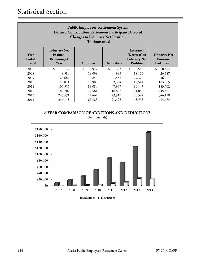| <b>Public Employees' Retirement System</b><br><b>Defined Contribution Retirement Participant Directed</b><br><b>Changes in Fiduciary Net Position</b><br>(In thousands) |                                                                  |                        |                   |                                                                        |                                                         |  |  |
|-------------------------------------------------------------------------------------------------------------------------------------------------------------------------|------------------------------------------------------------------|------------------------|-------------------|------------------------------------------------------------------------|---------------------------------------------------------|--|--|
| Year<br>Ended<br>June 30                                                                                                                                                | <b>Fiduciary Net</b><br>Position,<br><b>Beginning of</b><br>Year | <b>Additions</b>       | <b>Deductions</b> | Increase /<br>(Decrease) in<br><b>Fiduciary Net</b><br><b>Position</b> | <b>Fiduciary Net</b><br>Position,<br><b>End of Year</b> |  |  |
| 2007                                                                                                                                                                    | \$                                                               | $\mathcal{S}$<br>8.947 | \$<br>363         | $\mathcal{S}$<br>8,584                                                 | $\mathcal{S}$<br>8,584                                  |  |  |
| 2008                                                                                                                                                                    | 8,584                                                            | 19,098                 | 995               | 18,103                                                                 | 26,687                                                  |  |  |
| 2009                                                                                                                                                                    | 26,687                                                           | 30,856                 | 1,532             | 29,324                                                                 | 56,011                                                  |  |  |
| 2010                                                                                                                                                                    | 56,011                                                           | 50,908                 | 3,364             | 47,544                                                                 | 103,555                                                 |  |  |
| 2011                                                                                                                                                                    | 103,555                                                          | 88,084                 | 7,937             | 80,147                                                                 | 183,702                                                 |  |  |
| 2012                                                                                                                                                                    | 183,702                                                          | 72,561                 | 10,692            | 61,869                                                                 | 245,571                                                 |  |  |
| 2013                                                                                                                                                                    | 245,571                                                          | 124,464                | 23,917            | 100,547                                                                | 346,118                                                 |  |  |
| 2014                                                                                                                                                                    | 346,118                                                          | 169,983                | 21,428            | 148,555                                                                | 494,673                                                 |  |  |

**8-YEAR COMPARISON OF ADDITIONS AND DEDUCTIONS**

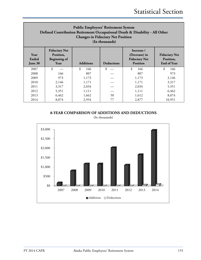| <b>Public Employees' Retirement System</b><br>Defined Contribution Retirement Occupational Death & Disability - All Other<br><b>Changes in Fiduciary Net Position</b><br>(In thousands) |                                                                                                           |           |    |           |                                                         |  |  |
|-----------------------------------------------------------------------------------------------------------------------------------------------------------------------------------------|-----------------------------------------------------------------------------------------------------------|-----------|----|-----------|---------------------------------------------------------|--|--|
| Year<br>Ended<br>June 30                                                                                                                                                                | <b>Fiduciary Net</b><br>Position,<br><b>Beginning of</b><br><b>Additions</b><br><b>Deductions</b><br>Year |           |    |           | <b>Fiduciary Net</b><br>Position,<br><b>End of Year</b> |  |  |
| 2007                                                                                                                                                                                    | \$                                                                                                        | \$<br>166 | \$ | \$<br>166 | \$<br>166                                               |  |  |
| 2008                                                                                                                                                                                    | 166                                                                                                       | 807       |    | 807       | 973                                                     |  |  |
| 2009                                                                                                                                                                                    | 973                                                                                                       | 1,173     |    | 1,173     | 2,146                                                   |  |  |
| 2010                                                                                                                                                                                    | 2,146                                                                                                     | 1,171     |    | 1,171     | 3,317                                                   |  |  |
| 2011                                                                                                                                                                                    | 3,317                                                                                                     | 2,034     |    | 2,034     | 5,351                                                   |  |  |
| 2012                                                                                                                                                                                    | 6,462<br>5,351<br>1,111<br>1,111                                                                          |           |    |           |                                                         |  |  |
| 2013                                                                                                                                                                                    | 6,462                                                                                                     | 1,662     | 50 | 1,612     | 8,074                                                   |  |  |
| 2014                                                                                                                                                                                    | 8,074                                                                                                     | 2,954     | 77 | 2,877     | 10,951                                                  |  |  |

**8-YEAR COMPARISON OF ADDITIONS AND DEDUCTIONS**

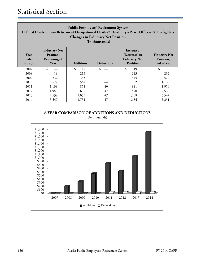| <b>Public Employees' Retirement System</b><br>Defined Contribution Retirement Occupational Death & Disability - Peace Officers & Firefighters<br><b>Changes in Fiduciary Net Position</b><br>(In thousands) |                                                                  |                           |                   |                                                                        |                                                         |  |  |
|-------------------------------------------------------------------------------------------------------------------------------------------------------------------------------------------------------------|------------------------------------------------------------------|---------------------------|-------------------|------------------------------------------------------------------------|---------------------------------------------------------|--|--|
| Year<br>Ended<br>June 30                                                                                                                                                                                    | <b>Fiduciary Net</b><br>Position,<br><b>Beginning of</b><br>Year | <b>Additions</b>          | <b>Deductions</b> | Increase /<br>(Decrease) in<br><b>Fiduciary Net</b><br><b>Position</b> | <b>Fiduciary Net</b><br>Position,<br><b>End of Year</b> |  |  |
| 2007                                                                                                                                                                                                        | \$                                                               | \$<br>19                  | \$                | \$<br>19                                                               | \$<br>19                                                |  |  |
| 2008                                                                                                                                                                                                        | 19                                                               | 213                       |                   | 213                                                                    | 232                                                     |  |  |
| 2009                                                                                                                                                                                                        | 232                                                              | 345                       |                   | 345                                                                    | 577                                                     |  |  |
| 2010                                                                                                                                                                                                        | 577                                                              | 562                       |                   | 562                                                                    | 1,139                                                   |  |  |
| 2011                                                                                                                                                                                                        | 1,139                                                            | 851                       | 40                | 811                                                                    | 1,950                                                   |  |  |
| 2012                                                                                                                                                                                                        | 1,950                                                            | 636<br>47<br>590<br>2,539 |                   |                                                                        |                                                         |  |  |
| 2013                                                                                                                                                                                                        | 2,539                                                            | 1,055                     | 47                | 1,008                                                                  | 3,547                                                   |  |  |
| 2014                                                                                                                                                                                                        | 3,547                                                            | 1,731                     | 47                | 1,684                                                                  | 5,231                                                   |  |  |

**8-YEAR COMPARISON OF ADDITIONS AND DEDUCTIONS**



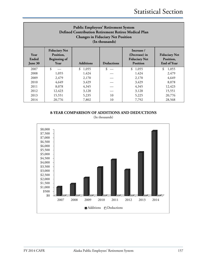| <b>Public Employees' Retirement System</b><br>Defined Contribution Retirement Retiree Medical Plan<br><b>Changes in Fiduciary Net Position</b><br>(In thousands) |                                                                  |                                                                        |                                                         |         |             |  |  |
|------------------------------------------------------------------------------------------------------------------------------------------------------------------|------------------------------------------------------------------|------------------------------------------------------------------------|---------------------------------------------------------|---------|-------------|--|--|
| Year<br>Ended<br>June 30                                                                                                                                         | <b>Fiduciary Net</b><br>Position,<br><b>Beginning of</b><br>Year | Increase /<br>(Decrease) in<br><b>Fiduciary Net</b><br><b>Position</b> | <b>Fiduciary Net</b><br>Position,<br><b>End of Year</b> |         |             |  |  |
| 2007                                                                                                                                                             | $\boldsymbol{\hat{\mathbf{S}}}$                                  | \$1,055                                                                | \$                                                      | \$1,055 | \$<br>1,055 |  |  |
| 2008                                                                                                                                                             | 1,055                                                            | 1,424                                                                  |                                                         | 1,424   | 2,479       |  |  |
| 2009                                                                                                                                                             | 2,479                                                            | 2,170                                                                  |                                                         | 2,170   | 4,649       |  |  |
| 2010                                                                                                                                                             | 4,649                                                            | 3,429                                                                  |                                                         | 3,429   | 8,078       |  |  |
| 2011                                                                                                                                                             | 8,078                                                            | 4,345                                                                  |                                                         | 4,345   | 12,423      |  |  |
| 2012                                                                                                                                                             | 12,423<br>15,551<br>3,128<br>3,128                               |                                                                        |                                                         |         |             |  |  |
| 2013                                                                                                                                                             | 15,551                                                           | 5,235                                                                  | 10                                                      | 5,225   | 20,776      |  |  |
| 2014                                                                                                                                                             | 20,776                                                           | 7,802                                                                  | 10                                                      | 7,792   | 28,568      |  |  |

**8-YEAR COMPARISON OF ADDITIONS AND DEDUCTIONS**

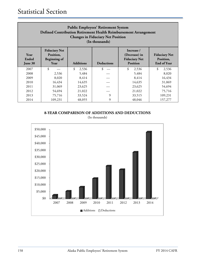| <b>Public Employees' Retirement System</b><br>Defined Contribution Retirement Health Reimbursement Arrangement<br><b>Changes in Fiduciary Net Position</b><br>(In thousands) |                                                                  |                  |                   |                                                                        |                                                         |  |  |
|------------------------------------------------------------------------------------------------------------------------------------------------------------------------------|------------------------------------------------------------------|------------------|-------------------|------------------------------------------------------------------------|---------------------------------------------------------|--|--|
| Year<br>Ended<br>June 30                                                                                                                                                     | <b>Fiduciary Net</b><br>Position,<br><b>Beginning of</b><br>Year | <b>Additions</b> | <b>Deductions</b> | Increase /<br>(Decrease) in<br><b>Fiduciary Net</b><br><b>Position</b> | <b>Fiduciary Net</b><br>Position,<br><b>End of Year</b> |  |  |
| 2007                                                                                                                                                                         | \$                                                               | \$<br>2,536      | \$                | \$<br>2,536                                                            | \$<br>2,536                                             |  |  |
| 2008                                                                                                                                                                         | 2,536                                                            | 5,484            |                   | 5,484                                                                  | 8,020                                                   |  |  |
| 2009                                                                                                                                                                         | 8,020                                                            | 8,414            |                   | 8,414                                                                  | 16,434                                                  |  |  |
| 2010                                                                                                                                                                         | 16,434                                                           | 14,635           |                   | 14,635                                                                 | 31,069                                                  |  |  |
| 2011                                                                                                                                                                         | 31,069                                                           | 23,625           |                   | 23,625                                                                 | 54,694                                                  |  |  |
| 2012                                                                                                                                                                         | 54,694<br>75,716<br>21,022<br>21,022                             |                  |                   |                                                                        |                                                         |  |  |
| 2013                                                                                                                                                                         | 75,716                                                           | 33,524           | 9                 | 33,515                                                                 | 109,231                                                 |  |  |
| 2014                                                                                                                                                                         | 109,231                                                          | 48,055           | 9                 | 48,046                                                                 | 157,277                                                 |  |  |

**8-YEAR COMPARISON OF ADDITIONS AND DEDUCTIONS**



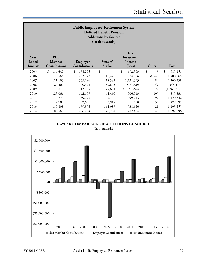| <b>Public Employees' Retirement System</b><br><b>Defined Benefit Pension</b><br><b>Additions by Source</b><br>(In thousands) |                                 |                           |                           |                                              |         |               |  |  |
|------------------------------------------------------------------------------------------------------------------------------|---------------------------------|---------------------------|---------------------------|----------------------------------------------|---------|---------------|--|--|
| Year<br>Ended<br>June 30                                                                                                     | Plan<br>Member<br>Contributions | Employer<br>Contributions | State of<br><b>Alaska</b> | <b>Net</b><br>Investment<br>Income<br>(Loss) | Other   | <b>Total</b>  |  |  |
| 2005                                                                                                                         | \$<br>114,640                   | \$<br>178,205             | \$                        | \$<br>692,303                                | \$<br>3 | \$<br>985,151 |  |  |
| 2006                                                                                                                         | 119,566                         | 253,922                   | 18,427                    | 974,006                                      | 34,947  | 1,400,868     |  |  |
| 2007                                                                                                                         | 121,103                         | 335,296                   | 18,582                    | 1,731,393                                    | 84      | 2,206,458     |  |  |
| 2008                                                                                                                         | 120,506                         | 100,323                   | 50,875                    | (315,290)                                    | 47      | (43,539)      |  |  |
| 2009                                                                                                                         | 118,815                         | 113,059                   | 79,681                    | (1,671,794)                                  | 22      | (1,360,217)   |  |  |
| 2010                                                                                                                         | 123,066                         | 142,157                   | 44,460                    | 506,043                                      | 105     | 815,831       |  |  |
| 2011                                                                                                                         | 116,270                         | 139,075                   | 65,187                    | 1,099,713                                    | 97      | 1,420,342     |  |  |
| 2012                                                                                                                         | 112,703                         | 182,695                   | 130,912                   | 1,650                                        | 35      | 427,995       |  |  |
| 2013                                                                                                                         | 110,808                         | 179,976                   | 164,087                   | 738,656                                      | 28      | 1,193,555     |  |  |
| 2014                                                                                                                         | 106,565                         | 206,204                   | 176,794                   | 1,207,484                                    | 49      | 1,697,096     |  |  |

**10-YEAR COMPARISON OF ADDITIONS BY SOURCE**

(In thousands)

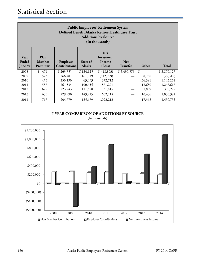| <b>Public Employees' Retirement System</b><br>Defined Benefit Alaska Retiree Healthcare Trust<br><b>Additions by Source</b><br>(In thousands)                                                                              |       |           |           |            |             |                |             |  |
|----------------------------------------------------------------------------------------------------------------------------------------------------------------------------------------------------------------------------|-------|-----------|-----------|------------|-------------|----------------|-------------|--|
| <b>Net</b><br>Plan<br>Year<br>Investment<br>Ended<br>Member<br>Employer<br>State of<br><b>Net</b><br>Income<br><b>Contributions</b><br><b>Alaska</b><br>Other<br>Total<br>Premiums<br>(Loss)<br><b>Transfer</b><br>June 30 |       |           |           |            |             |                |             |  |
| 2008                                                                                                                                                                                                                       | \$474 | \$263,755 | \$134,125 | \$(18,803) | \$3,490,576 | $\mathfrak{L}$ | \$3,870,127 |  |
| 2009                                                                                                                                                                                                                       | 523   | 266,481   | 161,919   | (512,999)  |             | 8,758          | (75,318)    |  |
| 2010                                                                                                                                                                                                                       | 475   | 250,190   | 63,493    | 372,712    |             | 456,391        | 1,143,261   |  |
| 2011                                                                                                                                                                                                                       | 557   | 261,534   | 100,654   | 871,221    |             | 12,650         | 1,246,616   |  |
| 2012                                                                                                                                                                                                                       | 627   | 223,243   | 111,698   | 31,815     |             | 31,889         | 399,272     |  |
| 2013                                                                                                                                                                                                                       | 635   | 229,990   | 143,215   | 652,118    |             | 10,436         | 1,036,394   |  |
| 2014                                                                                                                                                                                                                       | 717   | 204,779   | 135,679   | 1,092,212  |             | 17,368         | 1,450,755   |  |

**7-YEAR COMPARISON OF ADDITIONS BY SOURCE**

(In thousands)

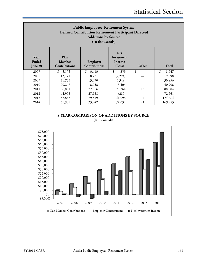| <b>Public Employees' Retirement System</b><br><b>Defined Contribution Retirement Participant Directed</b><br><b>Additions by Source</b><br>(In thousands) |                                 |                                  |                                              |       |             |  |  |
|-----------------------------------------------------------------------------------------------------------------------------------------------------------|---------------------------------|----------------------------------|----------------------------------------------|-------|-------------|--|--|
| Year<br>Ended<br>June 30                                                                                                                                  | Plan<br>Member<br>Contributions | Employer<br><b>Contributions</b> | <b>Net</b><br>Investment<br>Income<br>(Loss) | Other | Total       |  |  |
| 2007                                                                                                                                                      | \$<br>5,175                     | \$<br>3,413                      | \$<br>359                                    | \$    | \$<br>8,947 |  |  |
| 2008                                                                                                                                                      | 13,171                          | 8,221                            | (2,294)                                      |       | 19,098      |  |  |
| 2009                                                                                                                                                      | 21,735                          | 13,470                           | (4,349)                                      |       | 30,856      |  |  |
| 2010                                                                                                                                                      | 29,246                          | 18,258                           | 3,404                                        |       | 50,908      |  |  |
| 2011                                                                                                                                                      | 36,831                          | 22,976                           | 28,264                                       | 13    | 88,084      |  |  |
| 2012                                                                                                                                                      | 44,903                          | 27,938                           | (280)                                        |       | 72,561      |  |  |
| 2013                                                                                                                                                      | 53,843                          | 29,519                           | 41,098                                       | 4     | 124,464     |  |  |
| 2014                                                                                                                                                      | 61,989                          | 33,942                           | 74,031                                       | 21    | 169,983     |  |  |

**8-YEAR COMPARISON OF ADDITIONS BY SOURCE**

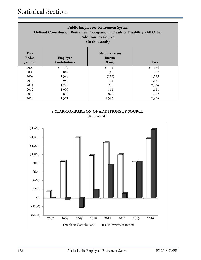| <b>Public Employees' Retirement System</b><br>Defined Contribution Retirement Occupational Death & Disability - All Other<br><b>Additions by Source</b><br>(In thousands) |                                  |         |           |  |  |  |  |
|---------------------------------------------------------------------------------------------------------------------------------------------------------------------------|----------------------------------|---------|-----------|--|--|--|--|
| Plan<br>Ended<br>June 30                                                                                                                                                  | Employer<br><b>Contributions</b> | Total   |           |  |  |  |  |
| 2007                                                                                                                                                                      | \$<br>162                        | \$<br>4 | \$<br>166 |  |  |  |  |
| 2008                                                                                                                                                                      | 847                              | (40)    | 807       |  |  |  |  |
| 2009                                                                                                                                                                      | 1,390                            | (217)   | 1,173     |  |  |  |  |
| 2010                                                                                                                                                                      | 980                              | 191     | 1,171     |  |  |  |  |
| 2011                                                                                                                                                                      | 1,275                            | 759     | 2,034     |  |  |  |  |
| 2012                                                                                                                                                                      | 1,000<br>111<br>1,111            |         |           |  |  |  |  |
| 2013                                                                                                                                                                      | 834                              | 828     | 1,662     |  |  |  |  |
| 2014                                                                                                                                                                      | 1,371                            | 1,583   | 2,954     |  |  |  |  |

**8-YEAR COMPARISON OF ADDITIONS BY SOURCE**

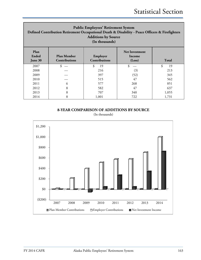| <b>Public Employees' Retirement System</b><br>Defined Contribution Retirement Occupational Death & Disability - Peace Officers & Firefighters<br><b>Additions by Source</b><br>(In thousands) |                                            |                                  |                                           |              |  |  |
|-----------------------------------------------------------------------------------------------------------------------------------------------------------------------------------------------|--------------------------------------------|----------------------------------|-------------------------------------------|--------------|--|--|
| Plan<br>Ended<br>June 30                                                                                                                                                                      | <b>Plan Member</b><br><b>Contributions</b> | Employer<br><b>Contributions</b> | <b>Net Investment</b><br>Income<br>(Loss) | <b>Total</b> |  |  |
| 2007                                                                                                                                                                                          | \$                                         | \$<br>19                         | \$                                        | \$<br>19     |  |  |
| 2008                                                                                                                                                                                          |                                            | 216                              | (3)                                       | 213          |  |  |
| 2009                                                                                                                                                                                          |                                            | 397                              | (52)                                      | 345          |  |  |
| 2010                                                                                                                                                                                          |                                            | 515                              | 47                                        | 562          |  |  |
| 2011                                                                                                                                                                                          | 6                                          | 577                              | 268                                       | 851          |  |  |
| 2012                                                                                                                                                                                          | 8                                          | 582                              | 47                                        | 637          |  |  |
| 2013                                                                                                                                                                                          | 8                                          | 707                              | 340                                       | 1,055        |  |  |
| 2014                                                                                                                                                                                          | 8                                          | 1,001                            | 722                                       | 1,731        |  |  |

**8-YEAR COMPARISON OF ADDITIONS BY SOURCE**

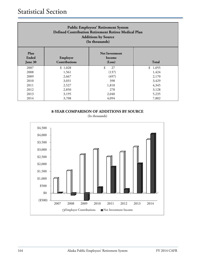| <b>Public Employees' Retirement System</b><br>Defined Contribution Retirement Retiree Medical Plan<br><b>Additions by Source</b><br>(In thousands) |         |          |         |  |  |
|----------------------------------------------------------------------------------------------------------------------------------------------------|---------|----------|---------|--|--|
| Plan<br><b>Net Investment</b><br>Ended<br>Employer<br>Income<br><b>Contributions</b><br><b>Total</b><br>(Loss)<br>June 30                          |         |          |         |  |  |
| 2007                                                                                                                                               | \$1,028 | \$<br>27 | \$1,055 |  |  |
| 2008                                                                                                                                               | 1,561   | (137)    | 1,424   |  |  |
| 2009                                                                                                                                               | 2,667   | (497)    | 2,170   |  |  |
| 2010                                                                                                                                               | 3,031   | 398      | 3,429   |  |  |
| 2011                                                                                                                                               | 2,527   | 1,818    | 4,345   |  |  |
| 2012                                                                                                                                               | 2,850   | 278      | 3,128   |  |  |
| 2013                                                                                                                                               | 3,195   | 2,040    | 5,235   |  |  |
| 2014                                                                                                                                               | 3,708   | 4,094    | 7,802   |  |  |

**8-YEAR COMPARISON OF ADDITIONS BY SOURCE**

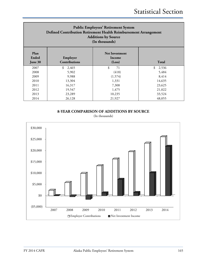| <b>Public Employees' Retirement System</b><br>Defined Contribution Retirement Health Reimbursement Arrangement<br><b>Additions by Source</b><br>(In thousands) |                                  |                                           |              |  |  |
|----------------------------------------------------------------------------------------------------------------------------------------------------------------|----------------------------------|-------------------------------------------|--------------|--|--|
| Plan<br><b>Ended</b><br>June 30                                                                                                                                | Employer<br><b>Contributions</b> | <b>Net Investment</b><br>Income<br>(Loss) | <b>Total</b> |  |  |
| 2007                                                                                                                                                           | \$<br>2,465                      | \$<br>71                                  | \$<br>2,536  |  |  |
| 2008                                                                                                                                                           | 5,902                            | (418)                                     | 5,484        |  |  |
| 2009                                                                                                                                                           | 9,988                            | (1,574)                                   | 8,414        |  |  |
| 2010                                                                                                                                                           | 13,304                           | 1,331                                     | 14,635       |  |  |
| 2011                                                                                                                                                           | 16,317                           | 7,308                                     | 23,625       |  |  |
| 2012                                                                                                                                                           | 19,547                           | 1,475                                     | 21,022       |  |  |
| 2013                                                                                                                                                           | 23,289                           | 10,235                                    | 33,524       |  |  |
| 2014                                                                                                                                                           | 26,128                           | 21,927                                    | 48,055       |  |  |

**8-YEAR COMPARISON OF ADDITIONS BY SOURCE**

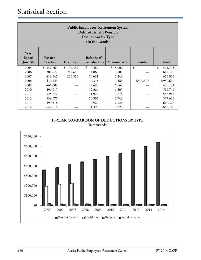| <b>Public Employees' Retirement System</b><br><b>Defined Benefit Pension</b><br><b>Deductions by Type</b><br>(In thousands)                              |           |                          |          |             |           |               |  |
|----------------------------------------------------------------------------------------------------------------------------------------------------------|-----------|--------------------------|----------|-------------|-----------|---------------|--|
| Year<br>Ended<br>Refunds of<br>Pension<br>Contributions<br><b>Transfer</b><br><b>Total</b><br><b>Benefits</b><br>Healthcare<br>Administrative<br>June 30 |           |                          |          |             |           |               |  |
| 2005                                                                                                                                                     | \$357,763 | 192,349<br>$\mathcal{S}$ | \$16,587 | \$<br>5,006 | \$        | \$<br>571,705 |  |
| 2006                                                                                                                                                     | 381,672   | 210,613                  | 14,063   | 5,801       |           | 612,149       |  |
| 2007                                                                                                                                                     | 410,545   | 224,553                  | 14,621   | 6,246       |           | 655,965       |  |
| 2008                                                                                                                                                     | 439,123   |                          | 14,333   | 6,585       | 3,490,576 | 3,950,617     |  |
| 2009                                                                                                                                                     | 466,085   |                          | 12,498   | 6,568       |           | 485,151       |  |
| 2010                                                                                                                                                     | 496,015   |                          | 12,364   | 6,365       |           | 514,744       |  |
| 2011                                                                                                                                                     | 525,277   |                          | 11,923   | 6,744       |           | 543,944       |  |
| 2012                                                                                                                                                     | 559,977   |                          | 10,906   | 6,743       |           | 577,626       |  |
| 2013                                                                                                                                                     | 599,318   |                          | 10,929   | 7,120       |           | 617,367       |  |
| 2014                                                                                                                                                     | 640,518   |                          | 11,399   | 8,223       |           | 660,140       |  |

(In thousands)

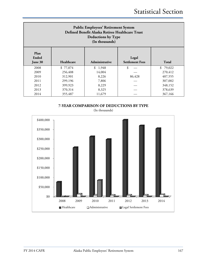| <b>Public Employees' Retirement System</b><br>Defined Benefit Alaska Retiree Healthcare Trust<br><b>Deductions by Type</b><br>(In thousands) |          |         |        |          |  |  |
|----------------------------------------------------------------------------------------------------------------------------------------------|----------|---------|--------|----------|--|--|
| Plan<br><b>Ended</b><br>Legal<br>Healthcare<br><b>Settlement Fees</b><br><b>Total</b><br>Administrative<br>June 30                           |          |         |        |          |  |  |
| 2008                                                                                                                                         | \$77,074 | \$1,948 | \$     | \$79,022 |  |  |
| 2009                                                                                                                                         | 256,408  | 14,004  |        | 270,412  |  |  |
| 2010                                                                                                                                         | 312,901  | 8,226   | 86,428 | 407,555  |  |  |
| 2011                                                                                                                                         | 299,196  | 7,806   |        | 307,002  |  |  |
| 2012                                                                                                                                         | 399,923  | 8,229   |        | 348,152  |  |  |
| 2013                                                                                                                                         | 370,314  | 8,325   |        | 378,639  |  |  |
| 2014                                                                                                                                         | 355,487  | 11,679  |        | 367,166  |  |  |





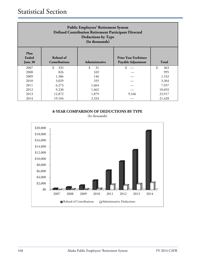| <b>Public Employees' Retirement System</b><br><b>Defined Contribution Retirement Participant Directed</b><br>Deductions by Type<br>(In thousands)     |           |          |       |           |  |  |
|-------------------------------------------------------------------------------------------------------------------------------------------------------|-----------|----------|-------|-----------|--|--|
| Plan<br>Refund of<br>Ended<br><b>Prior Year Forfeiture</b><br><b>Contributions</b><br>Payable Adjustment<br><b>Total</b><br>Administrative<br>June 30 |           |          |       |           |  |  |
| 2007                                                                                                                                                  | \$<br>332 | \$<br>31 | \$    | \$<br>363 |  |  |
| 2008                                                                                                                                                  | 826       | 169      |       | 995       |  |  |
| 2009                                                                                                                                                  | 1,386     | 146      |       | 1,532     |  |  |
| 2010                                                                                                                                                  | 3,029     | 335      |       | 3,364     |  |  |
| 2011                                                                                                                                                  | 6,273     | 1,664    |       | 7,937     |  |  |
| 2012                                                                                                                                                  | 9,230     | 1,462    |       | 10,692    |  |  |
| 2013                                                                                                                                                  | 12,872    | 1,879    | 9,166 | 23,917    |  |  |
| 2014                                                                                                                                                  | 19,104    | 2,324    |       | 21,428    |  |  |

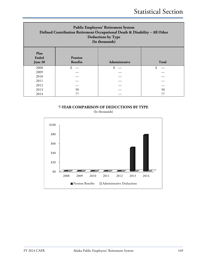| <b>Public Employees' Retirement System</b><br>Defined Contribution Retirement Occupational Death & Disability - All Other<br><b>Deductions by Type</b><br>(In thousands) |                                   |                |              |  |
|--------------------------------------------------------------------------------------------------------------------------------------------------------------------------|-----------------------------------|----------------|--------------|--|
| Plan<br><b>Ended</b><br>June 30                                                                                                                                          | <b>Pension</b><br><b>Benefits</b> | Administrative | <b>Total</b> |  |
| 2008                                                                                                                                                                     | \$                                | \$             | \$           |  |
| 2009                                                                                                                                                                     |                                   |                |              |  |
| 2010                                                                                                                                                                     |                                   |                |              |  |
| 2011                                                                                                                                                                     |                                   |                |              |  |
| 2012                                                                                                                                                                     |                                   |                |              |  |
| 2013                                                                                                                                                                     | 50                                |                | 50           |  |
| 2014                                                                                                                                                                     |                                   |                |              |  |

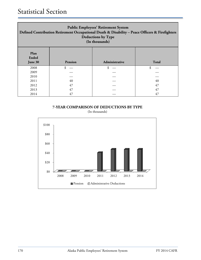| <b>Public Employees' Retirement System</b><br>Defined Contribution Retirement Occupational Death & Disability - Peace Officers & Firefighters<br><b>Deductions by Type</b><br>(In thousands) |         |                |              |  |  |
|----------------------------------------------------------------------------------------------------------------------------------------------------------------------------------------------|---------|----------------|--------------|--|--|
| Plan<br><b>Ended</b><br>June 30                                                                                                                                                              | Pension | Administrative | <b>Total</b> |  |  |
| 2008                                                                                                                                                                                         |         |                |              |  |  |
| 2009                                                                                                                                                                                         |         |                |              |  |  |
| 2010                                                                                                                                                                                         |         |                |              |  |  |
| 2011                                                                                                                                                                                         | 40      |                | 40           |  |  |
| 2012                                                                                                                                                                                         | 47      |                | 47           |  |  |
| 2013                                                                                                                                                                                         | 47      |                | 47           |  |  |
| 2014                                                                                                                                                                                         | 47      |                | 47           |  |  |

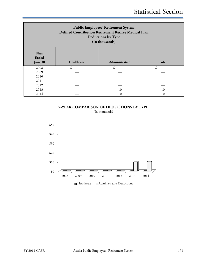| <b>Public Employees' Retirement System</b><br>Defined Contribution Retirement Retiree Medical Plan<br><b>Deductions by Type</b><br>(In thousands) |            |                |       |  |  |
|---------------------------------------------------------------------------------------------------------------------------------------------------|------------|----------------|-------|--|--|
| Plan<br><b>Ended</b><br>June 30                                                                                                                   | Healthcare | Administrative | Total |  |  |
| 2008                                                                                                                                              | \$         | \$             | \$    |  |  |
| 2009                                                                                                                                              |            |                |       |  |  |
| 2010                                                                                                                                              |            |                |       |  |  |
| 2011                                                                                                                                              |            |                |       |  |  |
| 2012                                                                                                                                              |            |                |       |  |  |
|                                                                                                                                                   |            |                |       |  |  |
| 2013                                                                                                                                              |            | 10             | 10    |  |  |

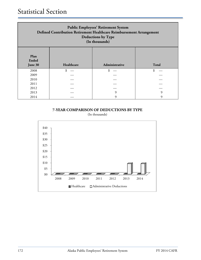| <b>Public Employees' Retirement System</b><br>Defined Contribution Retirement Healthcare Reimbursement Arrangement<br>Deductions by Type<br>(In thousands) |    |   |   |  |  |
|------------------------------------------------------------------------------------------------------------------------------------------------------------|----|---|---|--|--|
| Plan<br><b>Ended</b><br>Healthcare<br><b>Total</b><br>Administrative<br>June 30                                                                            |    |   |   |  |  |
| 2008                                                                                                                                                       | \$ |   |   |  |  |
| 2009                                                                                                                                                       |    |   |   |  |  |
| 2010                                                                                                                                                       |    |   |   |  |  |
| 2011                                                                                                                                                       |    |   |   |  |  |
| 2012                                                                                                                                                       |    |   |   |  |  |
| 2013                                                                                                                                                       |    | q | 9 |  |  |
| 2014                                                                                                                                                       |    |   | Q |  |  |

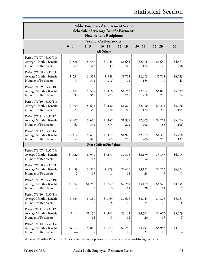| <b>Public Employees' Retirement System</b><br><b>Schedule of Average Benefit Payments</b><br><b>New Benefit Recipients</b> |                                  |                |                           |                |                |                |                           |  |
|----------------------------------------------------------------------------------------------------------------------------|----------------------------------|----------------|---------------------------|----------------|----------------|----------------|---------------------------|--|
|                                                                                                                            | <b>Years of Credited Service</b> |                |                           |                |                |                |                           |  |
|                                                                                                                            | $0 - 4$                          | $5 - 9$        | $10 - 14$                 | $15 - 19$      | $20 - 24$      | $25 - 29$      | $30+$                     |  |
|                                                                                                                            |                                  |                | All Others                |                |                |                |                           |  |
| Period 7/1/07 - 6/30/08:<br>Average Monthly Benefit<br>Number of Recipients                                                | \$<br>586<br>69                  | \$548<br>315   | \$1,044<br>249            | \$1,655<br>222 | \$2,668<br>172 | \$3,642<br>170 | \$4,561<br>56             |  |
| Period 7/1/08 - 6/30/09:<br>Average Monthly Benefit<br>Number of Recipients                                                | \$534<br>71                      | \$554<br>341   | \$<br>988<br>216          | \$1,708<br>171 | \$2,693<br>154 | \$3,718<br>159 | \$4,723<br>47             |  |
| Period 7/1/09 - 6/30/10:<br>Average Monthly Benefit<br>Number of Recipients                                                | \$<br>485<br>93                  | \$579<br>367   | \$1,116<br>273            | \$1,763<br>217 | \$2,674<br>218 | \$4,008<br>200 | \$5,039<br>74             |  |
| Period 7/1/10 - 6/30/11:<br>Average Monthly Benefit<br>Number of Recipients                                                | \$<br>409<br>73                  | \$633<br>352   | \$1,150<br>270            | \$1,876<br>227 | \$2,690<br>172 | \$4,294<br>205 | \$5,226<br>105            |  |
| Period 7/1/11 - 6/30/12:<br>Average Monthly Benefit<br>Number of Recipients                                                | \$<br>407<br>67                  | \$610<br>351   | \$1,147<br>314            | \$1,931<br>204 | \$2,805<br>208 | \$4,214<br>188 | \$5,076<br>106            |  |
| Period 7/1/12 - 6/30/13:<br>Average Monthly Benefit<br>Number of Recipients                                                | \$<br>414<br>59                  | \$650<br>349   | \$1,179<br>365            | \$1,925<br>257 | \$2,879<br>206 | \$4,356<br>209 | \$5,208<br>132            |  |
|                                                                                                                            |                                  |                | Peace Officer/Firefighter |                |                |                |                           |  |
| Period 7/1/07 - 6/30/08:<br>Average Monthly Benefit<br>Number of Recipients                                                | \$1,522<br>6                     | \$950<br>13    | \$1,171<br>13             | \$2,378<br>20  | \$3,179<br>32  | \$3,837<br>18  | \$6,014<br>3              |  |
| Period 7/1/08 - 6/30/09:<br>Average Monthly Benefit<br>Number of Recipients                                                | \$<br>489<br>$\overline{2}$      | \$820<br>17    | \$979<br>11               | \$2,466<br>18  | \$3,152<br>23  | \$4,213<br>7   | \$4,894<br>5              |  |
| Period 7/1/09 - 6/30/10:<br>Average Monthly Benefit<br>Number of Recipients                                                | \$1,902<br>4                     | \$1,242        | \$1,459<br>16             | \$2,284<br>14  | \$3,179<br>28  | \$4,527<br>14  | \$4,695                   |  |
| Period 7/1/10 - 6/30/11:<br>Average Monthly Benefit<br>Number of Recipients                                                | \$525<br>1                       | \$<br>880<br>8 | \$1,469<br>18             | \$2,666<br>10  | \$3,743<br>24  | \$4,806<br>16  | \$5,661<br>8              |  |
| Period 7/1/11 - 6/30/12:<br>Average Monthly Benefit<br>Number of Recipients                                                | \$                               | \$1,159<br>13  | \$1,161<br>13             | \$3,142<br>12  | \$3,504<br>20  | \$4,673<br>17  | \$5,079<br>7              |  |
| Period 7/1/12 - 6/30/13:<br>Average Monthly Benefit<br>Number of Recipients                                                | \$                               | \$<br>865<br>9 | \$1,779<br>8              | \$2,762<br>19  | \$3,793<br>31  | \$4,983<br>18  | \$4,911<br>$\overline{4}$ |  |

"Average Monthly Benefit" includes post-retirement pension adjustments and cost-of-living increases.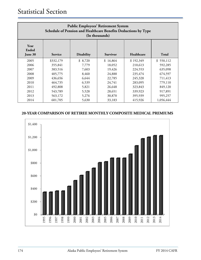| <b>Public Employees' Retirement System</b><br>Schedule of Pension and Healthcare Benefits Deductions by Type<br>(In thousands) |           |         |          |           |           |  |
|--------------------------------------------------------------------------------------------------------------------------------|-----------|---------|----------|-----------|-----------|--|
| Year<br>Ended<br>Healthcare<br><b>Disability</b><br><b>Survivor</b><br><b>Total</b><br>June 30<br><b>Service</b>               |           |         |          |           |           |  |
| 2005                                                                                                                           | \$332,179 | \$8,720 | \$16,864 | \$192,349 | \$550,112 |  |
| 2006                                                                                                                           | 355,841   | 7,779   | 18,052   | 210,613   | 592,285   |  |
| 2007                                                                                                                           | 383,516   | 7,603   | 19,426   | 224,553   | 635,098   |  |
| 2008                                                                                                                           | 405,775   | 8,460   | 24,888   | 235,474   | 674,597   |  |
| 2009                                                                                                                           | 436,656   | 6,644   | 22,785   | 245,328   | 711,413   |  |
| 2010                                                                                                                           | 464,735   | 6,539   | 24,741   | 283,095   | 779,110   |  |
| 2011                                                                                                                           | 492,808   | 5,821   | 26,648   | 323,843   | 849,120   |  |
| 2012                                                                                                                           | 543,789   | 5,528   | 28,651   | 339,923   | 917,891   |  |
| 2013                                                                                                                           | 563,172   | 5,276   | 30,870   | 395,939   | 995,257   |  |
| 2014                                                                                                                           | 601,705   | 5,630   | 33,183   | 415,926   | 1,056,444 |  |

#### **20-YEAR COMPARISON OF RETIREE MONTHLY COMPOSITE MEDICAL PREMIUMS**

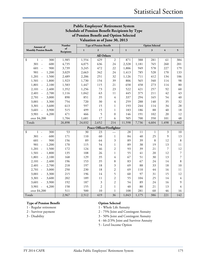| <b>Public Employees' Retirement System</b>     |        |                                |                  |                           |                        |              |                |                |                |
|------------------------------------------------|--------|--------------------------------|------------------|---------------------------|------------------------|--------------|----------------|----------------|----------------|
| Schedule of Pension Benefit Recipients by Type |        |                                |                  |                           |                        |              |                |                |                |
| of Pension Benefit and Option Selected         |        |                                |                  |                           |                        |              |                |                |                |
| Valuation as of June 30, 2013                  |        |                                |                  |                           |                        |              |                |                |                |
| Amount of                                      | Number | <b>Type of Pension Benefit</b> |                  |                           | <b>Option Selected</b> |              |                |                |                |
| <b>Monthly Pension Benefit</b>                 | of     | $\mathbf{1}$                   | $\mathbf{2}$     | 3                         | $\mathbf{1}$           | $\mathbf{2}$ | $\mathfrak{z}$ | $\overline{4}$ | 5              |
| Recipients<br><b>All Others</b>                |        |                                |                  |                           |                        |              |                |                |                |
| \$<br>300<br>1<br>$\overline{\phantom{a}}$     | 1,985  | 1,554                          | 429              | 2                         | 871                    | 388          | 281            | 61             | 384            |
| 600<br>301<br>$\overline{\phantom{a}}$         | 4,735  | 4,075                          | 636              | 24                        | 2,328                  | 1,181        | 765            | 260            | 201            |
| 601<br>900<br>$\sim$                           | 3,739  | 3,245                          | 472              | 22                        | 1,806                  | 949          | 578            | 227            | 179            |
| 901<br>1,200<br>$\overline{a}$                 | 3,029  | 2,663                          | 342              | 24                        | 1,413                  | 785          | 528            | 170            | 133            |
| 1,201<br>1,500<br>$\overline{\phantom{a}}$     | 2,489  | 2,206                          | 251              | 32                        | 1,126                  | 711          | 412            | 134            | 106            |
| 1,501<br>1,800                                 | 1,923  | 1,730                          | 154              | 39                        | 806                    | 565          | 340            | 114            | 98             |
| 1,801<br>2,100                                 | 1,583  | 1,447                          | 115              | 21                        | 658                    | 458          | 273            | 114            | 80             |
| 2,101<br>2,400<br>$\overline{\phantom{a}}$     | 1,352  | 1,256                          | 73               | 23                        | 522                    | 421          | 257            | 92             | 60             |
| 2,401<br>2,700<br>$\overline{\phantom{a}}$     | 1,116  | 1,042                          | 63               | 11                        | 445                    | 375          | 211            | 42             | 43             |
| 2,701<br>3,000<br>$\sim$                       | 890    | 851                            | 35               | 4                         | 337                    | 294          | 165            | 54             | 40             |
| 3,001<br>3,300<br>$\sim$                       | 754    | 720                            | 30               | 4                         | 259                    | 288          | 140            | 35             | 32             |
| 3,301<br>3,600<br>$\sim$                       | 613    | 597                            | 15               | $\mathbf{1}$              | 193                    | 244          | 114            | 34             | 28             |
| 3,601<br>3,900<br>$\sim$                       | 515    | 499                            | 15               | $\mathbf{1}$              | 183                    | 186          | 88             | 40             | 18             |
| 3,901<br>4,200<br>$\sim$                       | 471    | 466                            | 5                | $\boldsymbol{0}$          | 146                    | 191          | 102            | 20             | 12             |
| over \$4,200                                   | 1,704  | 1,681                          | 17               | 6                         | 505                    | 700          | 350            | 101            | 48             |
| Totals                                         | 26,898 | 24,032                         | 2,652            | 214                       | 11,598                 | 7,736        | 4,604          | 1,498          | 1,462          |
|                                                |        |                                |                  | Peace Officer/Firefighter |                        |              |                |                |                |
| \$<br>300<br>1<br>$\sim$                       | 53     | 30                             | 23               |                           | 28                     | 11           | 1              | 3              | 10             |
| 600<br>$301 -$                                 | 171    | 110                            | 60               | 1                         | 84                     | 40           | 25             | 9              | 13             |
| 601<br>900<br>$\overline{\phantom{a}}$         | 156    | 89                             | 64               | 3                         | 89                     | 39           | 8              | 12             | 8              |
| 901<br>1,200<br>$\overline{\phantom{a}}$       | 170    | 115                            | 54               | 1                         | 89                     | 38           | 19             | 13             | 11             |
| 1,201<br>1,500<br>$\sim$                       | 172    | 124                            | 46               | $\boldsymbol{2}$          | 93                     | 39           | 21             | 7              | 12             |
| 1,501<br>1,800<br>$\sim$                       | 135    | 108                            | 26               | $\mathbf 1$               | 55                     | 41           | 20             | 12             | $\overline{7}$ |
| 1,801<br>2,100<br>$\overline{a}$               | 168    | 129                            | 35               | 4                         | 67                     | 51           | 30             | 13             | $\overline{7}$ |
| 2,101<br>2,400<br>$\overline{\phantom{a}}$     | 196    | 153                            | 35               | 8                         | 83                     | 67           | 24             | 14             | $\,8\,$        |
| 2,401<br>2,700                                 | 218    | 197                            | 18               | 3                         | 69                     | 88           | 33             | 18             | 10             |
| 3,000<br>2,701                                 | 250    | 230                            | 18               | $\overline{2}$            | 69                     | 110          | $44$           | 16             | 11             |
| $3,001 -$<br>3,300                             | 215    | 196                            | 14               | 5                         | 60                     | 97           | 31             | 15             | 12             |
| $3,301 -$<br>3,600                             | 202    | 189                            | 11               | $\overline{c}$            | 55                     | 104          | 25             | 14             | 4              |
| $3,601 -$<br>3,900                             | 192    | 187                            | $\mathfrak{Z}$   | $\overline{\mathbf{c}}$   | 54                     | 89           | 24             | 16             | 9              |
| $3,901 -$<br>4,200                             | 158    | 155                            | $\boldsymbol{2}$ | $\,1$                     | 40                     | 80           | 21             | 13             | $\overline{4}$ |
| over \$4,200                                   | 511    | 500                            | 10               | $\,1$                     | 108                    | 281          | 60             | 46             | 16             |
| Totals                                         | 2,967  | 2,512                          | 419              | 36                        | 1,043                  | 1,175        | 386            | 221            | 142            |

#### **Type of Pension Benefit Option Selected**

- 
- 

1 - Regular retirement 1 - Whole Life Annuity

2 - Survivor payment 2 - 75% Joint and Contingent Annuity

3 - Disability 3 - 50% Joint and Contingent Annuity

4 - 66-2/3% Joint and Survivor Annuity

5 - Level Income Option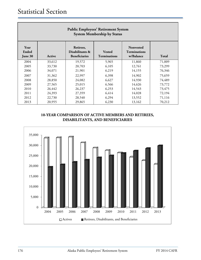| <b>Public Employees' Retirement System</b><br><b>System Membership by Status</b> |        |                                                      |                                      |                                                      |        |  |  |
|----------------------------------------------------------------------------------|--------|------------------------------------------------------|--------------------------------------|------------------------------------------------------|--------|--|--|
| Year<br>Ended<br>June 30                                                         | Active | Retirees,<br>Disabilitants &<br><b>Beneficiaries</b> | <b>Vested</b><br><b>Terminations</b> | <b>Nonvested</b><br><b>Terminations</b><br>w/Balance | Total  |  |  |
| 2004                                                                             | 33,612 | 19,572                                               | 5,965                                | 11,860                                               | 71,009 |  |  |
| 2005                                                                             | 33,730 | 20,703                                               | 6,105                                | 12,761                                               | 73,299 |  |  |
| 2006                                                                             | 34,071 | 21,901                                               | 6,219                                | 14,155                                               | 76,346 |  |  |
| 2007                                                                             | 31,362 | 22,997                                               | 6,398                                | 14,902                                               | 75,659 |  |  |
| 2008                                                                             | 28,850 | 24,082                                               | 6,627                                | 14,930                                               | 74,489 |  |  |
| 2009                                                                             | 27,565 | 25,015                                               | 6,566                                | 14,626                                               | 73,772 |  |  |
| 2010                                                                             | 26,442 | 26,237                                               | 6,253                                | 14,543                                               | 73,475 |  |  |
| 2011                                                                             | 24,393 | 27,359                                               | 6,414                                | 14,028                                               | 72,194 |  |  |
| 2012                                                                             | 22,730 | 28,540                                               | 6,294                                | 13,552                                               | 71,116 |  |  |
| 2013                                                                             | 20,955 | 29,865                                               | 6,230                                | 13,162                                               | 70,212 |  |  |

#### **10-YEAR COMPARISON OF ACTIVE MEMBERS AND RETIREES, DISABILITANTS, AND BENEFICIARIES**

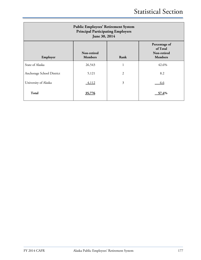| <b>Public Employees' Retirement System</b><br><b>Principal Participating Employers</b><br>June 30, 2014 |                               |                |                                                            |  |  |  |
|---------------------------------------------------------------------------------------------------------|-------------------------------|----------------|------------------------------------------------------------|--|--|--|
| Employer                                                                                                | Non-retired<br><b>Members</b> | Rank           | Percentage of<br>of Total<br>Non-retired<br><b>Members</b> |  |  |  |
| State of Alaska                                                                                         | 26,543                        | 1              | 42.6%                                                      |  |  |  |
| Anchorage School District                                                                               | 5,121                         | $\overline{2}$ | 8.2                                                        |  |  |  |
| University of Alaska                                                                                    | 4,112                         | 3              | 6.6                                                        |  |  |  |
| <b>Total</b>                                                                                            | 35,776                        |                | 57.4%                                                      |  |  |  |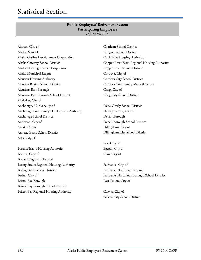#### **Public Employees' Retirement System Participating Employers** at June 30, 2014

Akutan, City of Alaska, State of Alaska Gasline Development Corporation Alaska Gateway School District Alaska Housing Finance Corporation Alaska Municipal League Aleutian Housing Authority Aleutian Region School District Aleutians East Borough Aleutians East Borough School District Allakaket, City of Anchorage, Municipality of Anchorage Community Development Authority Anchorage School District Anderson, City of Aniak, City of Annette Island School District Atka, City of

Baranof Island Housing Authority Barrow, City of Bartlett Regional Hospital Bering Straits Regional Housing Authority Bering Strait School District Bethel, City of Bristol Bay Borough Bristol Bay Borough School District Bristol Bay Regional Housing Authority

Chatham School District Chugach School District Cook Inlet Housing Authority Copper River Basin Regional Housing Authority Copper River School District Cordova, City of Cordova City School District Cordova Community Medical Center Craig, City of Craig City School District

Delta-Greely School District Delta Junction, City of Denali Borough Denali Borough School District Dillingham, City of Dillingham City School District

Eek, City of Egegik, City of Elim, City of

Fairbanks, City of Fairbanks North Star Borough Fairbanks North Star Borough School District Fort Yukon, City of

Galena, City of Galena City School District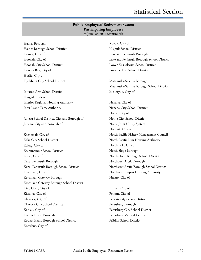#### **Public Employees' Retirement System Participating Employers** at June 30, 2014 (continued)

Haines Borough Haines Borough School District Homer, City of Hoonah, City of Hoonah City School District Hooper Bay, City of Huslia, City of Hydaburg City School District

Iditarod Area School District Ilisagvik College Interior Regional Housing Authority Inter-Island Ferry Authority

Juneau School District, City and Borough of Juneau, City and Borough of

Kachemak, City of Kake City School District Kaltag, City of Kashunamiut School District Kenai, City of Kenai Peninsula Borough Kenai Peninsula Borough School District Ketchikan, City of Ketchikan Gateway Borough Ketchikan Gateway Borough School District King Cove, City of Kivalina, City of Klawock, City of Klawock City School District Kodiak, City of Kodiak Island Borough Kodiak Island Borough School District Kotzebue, City of

Koyuk, City of Kuspuk School District Lake and Peninsula Borough Lake and Peninsula Borough School District Lower Kuskokwim School District Lower Yukon School District

Matanuska-Susitna Borough Matanuska-Susitna Borough School District Mekoryuk, City of

Nenana, City of Nenana City School District Nome, City of Nome City School District Nome Joint Utility System Noorvik, City of North Pacific Fishery Management Council North Pacific Rim Housing Authority North Pole, City of North Slope Borough North Slope Borough School District Northwest Arctic Borough Northwest Arctic Borough School District Northwest Inupiat Housing Authority Nulato, City of

Palmer, City of Pelican, City of Pelican City School District Petersburg Borough Petersburg City School District Petersburg Medical Center Pribilof School District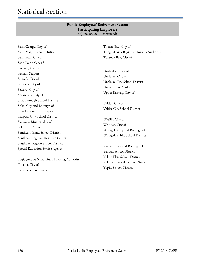#### **Public Employees' Retirement System Participating Employers** at June 30, 2014 (continued)

Saint George, City of Saint Mary's School District Saint Paul, City of Sand Point, City of Saxman, City of Saxman Seaport Selawik, City of Seldovia, City of Seward, City of Shaktoolik, City of Sitka Borough School District Sitka, City and Borough of Sitka Community Hospital Skagway City School District Skagway, Municipality of Soldotna, City of Southeast Island School District Southeast Regional Resource Center Southwest Region School District Special Education Service Agency

Tagiugmiullu Nunamiullu Housing Authority Tanana, City of Tanana School District

Thorne Bay, City of Tlingit-Haida Regional Housing Authority Toksook Bay, City of

Unalakleet, City of Unalaska, City of Unalaska City School District University of Alaska Upper Kalskag, City of

Valdez, City of Valdez City School District

Wasilla, City of Whittier, City of Wrangell, City and Borough of Wrangell Public School District

Yakutat, City and Borough of Yakutat School District Yukon Flats School District Yukon-Koyukuk School District Yupiit School District